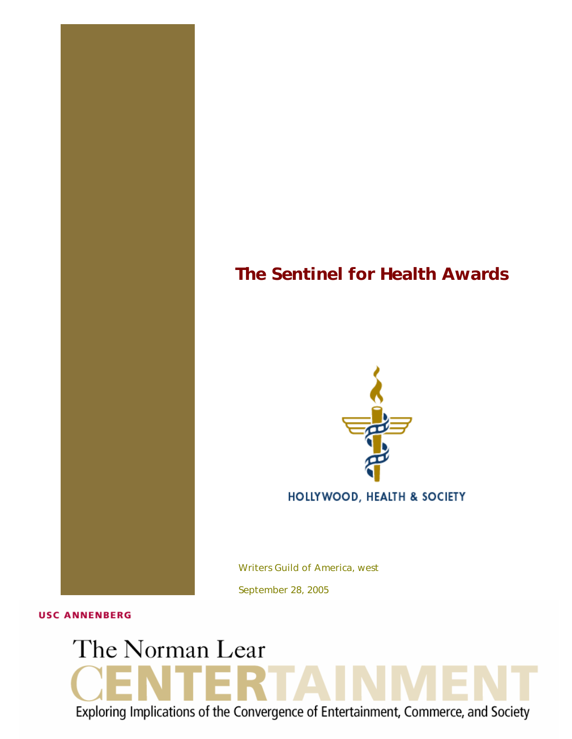# *The Sentinel for Health Awards*



Writers Guild of America, west

September 28, 2005

**USC ANNENBERG** 

# The Norman Lear Exploring Implications of the Convergence of Entertainment, Commerce, and Society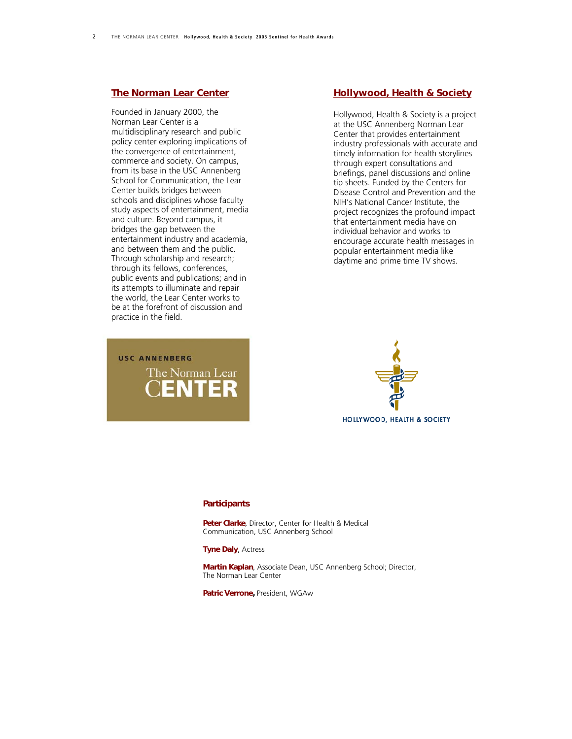#### *[The Norman Lear Center](http://www.learcenter.org/)*

Founded in January 2000, the Norman Lear Center is a multidisciplinary research and public policy center exploring implications of the convergence of entertainment, commerce and society. On campus, from its base in the USC Annenberg School for Communication, the Lear Center builds bridges between schools and disciplines whose faculty study aspects of entertainment, media and culture. Beyond campus, it bridges the gap between the entertainment industry and academia, and between them and the public. Through scholarship and research; through its fellows, conferences, public events and publications; and in its attempts to illuminate and repair the world, the Lear Center works to be at the forefront of discussion and practice in the field.

## *[Hollywood, Health & Society](http://www.usc.edu/hhs)*

Hollywood, Health & Society is a project at the USC Annenberg Norman Lear Center that provides entertainment industry professionals with accurate and timely information for health storylines through expert consultations and briefings, panel discussions and online tip sheets. Funded by the Centers for Disease Control and Prevention and the NIH's National Cancer Institute, the project recognizes the profound impact that entertainment media have on individual behavior and works to encourage accurate health messages in popular entertainment media like daytime and prime time TV shows.

# **USC ANNENBERG** The Norman Lear **ENTER**



#### *Participants*

*Peter Clarke*, Director, Center for Health & Medical Communication, USC Annenberg School

#### *Tyne Daly*, Actress

*Martin Kaplan*, Associate Dean, USC Annenberg School; Director, The Norman Lear Center

*Patric Verrone,* President, WGAw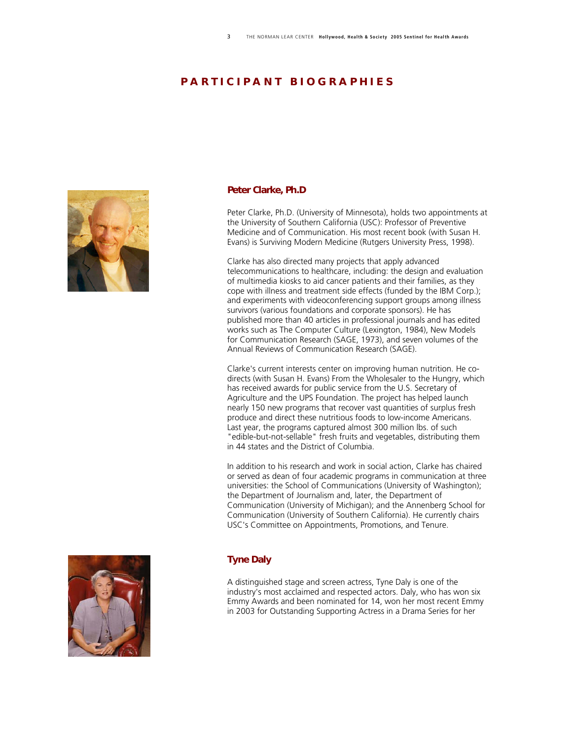### *P A R T I C I P A N T B I O G R A P H I E S*



#### *Peter Clarke, Ph.D*

Peter Clarke, Ph.D. (University of Minnesota), holds two appointments at the University of Southern California (USC): Professor of Preventive Medicine and of Communication. His most recent book (with Susan H. Evans) is Surviving Modern Medicine (Rutgers University Press, 1998).

Clarke has also directed many projects that apply advanced telecommunications to healthcare, including: the design and evaluation of multimedia kiosks to aid cancer patients and their families, as they cope with illness and treatment side effects (funded by the IBM Corp.); and experiments with videoconferencing support groups among illness survivors (various foundations and corporate sponsors). He has published more than 40 articles in professional journals and has edited works such as The Computer Culture (Lexington, 1984), New Models for Communication Research (SAGE, 1973), and seven volumes of the Annual Reviews of Communication Research (SAGE).

Clarke's current interests center on improving human nutrition. He codirects (with Susan H. Evans) From the Wholesaler to the Hungry, which has received awards for public service from the U.S. Secretary of Agriculture and the UPS Foundation. The project has helped launch nearly 150 new programs that recover vast quantities of surplus fresh produce and direct these nutritious foods to low-income Americans. Last year, the programs captured almost 300 million lbs. of such "edible-but-not-sellable" fresh fruits and vegetables, distributing them in 44 states and the District of Columbia.

In addition to his research and work in social action, Clarke has chaired or served as dean of four academic programs in communication at three universities: the School of Communications (University of Washington); the Department of Journalism and, later, the Department of Communication (University of Michigan); and the Annenberg School for Communication (University of Southern California). He currently chairs USC's Committee on Appointments, Promotions, and Tenure.

#### *Tyne Daly*

A distinguished stage and screen actress, Tyne Daly is one of the industry's most acclaimed and respected actors. Daly, who has won six Emmy Awards and been nominated for 14, won her most recent Emmy in 2003 for Outstanding Supporting Actress in a Drama Series for her

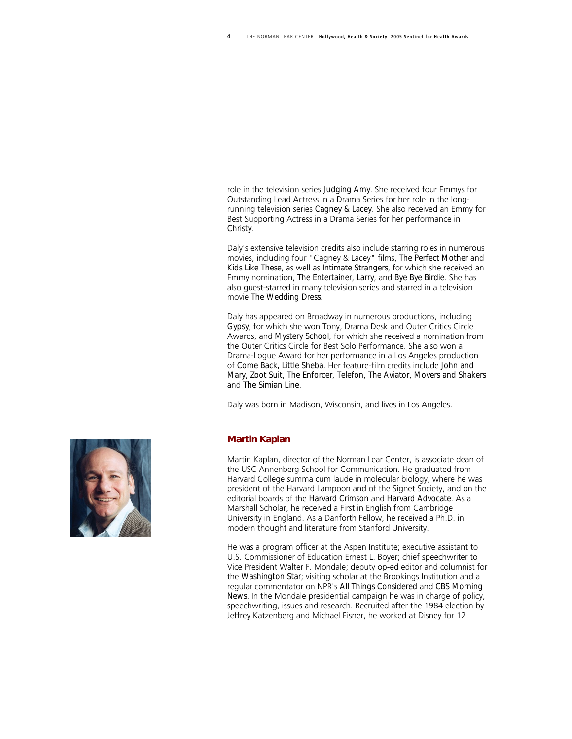role in the television series *Judging Amy*. She received four Emmys for Outstanding Lead Actress in a Drama Series for her role in the longrunning television series *Cagney & Lacey*. She also received an Emmy for Best Supporting Actress in a Drama Series for her performance in *Christy*.

Daly's extensive television credits also include starring roles in numerous movies, including four "Cagney & Lacey" films, *The Perfect Mother* and *Kids Like These*, as well as *Intimate Strangers*, for which she received an Emmy nomination, *The Entertainer*, *Larry*, and *Bye Bye Birdie*. She has also guest-starred in many television series and starred in a television movie *The Wedding Dress*.

Daly has appeared on Broadway in numerous productions, including *Gypsy*, for which she won Tony, Drama Desk and Outer Critics Circle Awards, and *Mystery School*, for which she received a nomination from the Outer Critics Circle for Best Solo Performance. She also won a Drama-Logue Award for her performance in a Los Angeles production of *Come Back, Little Sheba*. Her feature-film credits include *John and Mary*, *Zoot Suit*, *The Enforcer*, *Telefon*, *The Aviator*, *Movers and Shakers* and *The Simian Line*.

Daly was born in Madison, Wisconsin, and lives in Los Angeles.

#### *Martin Kaplan*

Martin Kaplan, director of the Norman Lear Center, is associate dean of the USC Annenberg School for Communication. He graduated from Harvard College summa cum laude in molecular biology, where he was president of the Harvard Lampoon and of the Signet Society, and on the editorial boards of the *Harvard Crimson* and *Harvard Advocate*. As a Marshall Scholar, he received a First in English from Cambridge University in England. As a Danforth Fellow, he received a Ph.D. in modern thought and literature from Stanford University.

He was a program officer at the Aspen Institute; executive assistant to U.S. Commissioner of Education Ernest L. Boyer; chief speechwriter to Vice President Walter F. Mondale; deputy op-ed editor and columnist for the *Washington Star*; visiting scholar at the Brookings Institution and a regular commentator on NPR's *All Things Considered* and *CBS Morning News*. In the Mondale presidential campaign he was in charge of policy, speechwriting, issues and research. Recruited after the 1984 election by Jeffrey Katzenberg and Michael Eisner, he worked at Disney for 12

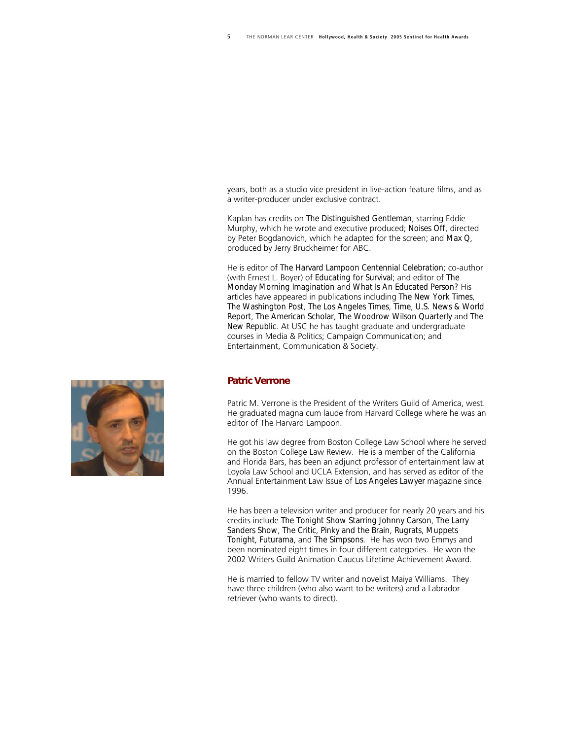years, both as a studio vice president in live-action feature films, and as a writer-producer under exclusive contract.

Kaplan has credits on *The Distinguished Gentleman*, starring Eddie Murphy, which he wrote and executive produced; *Noises Off*, directed by Peter Bogdanovich, which he adapted for the screen; and *Max Q*, produced by Jerry Bruckheimer for ABC.

He is editor of *The Harvard Lampoon Centennial Celebration*; co-author (with Ernest L. Boyer) of *Educating for Survival*; and editor of *The Monday Morning Imagination* and *What Is An Educated Person?* His articles have appeared in publications including *The New York Times*, *The Washington Post*, *The Los Angeles Times*, *Time*, *U.S. News & World Report*, *The American Scholar*, *The Woodrow Wilson Quarterly* and *The New Republic*. At USC he has taught graduate and undergraduate courses in Media & Politics; Campaign Communication; and Entertainment, Communication & Society.

#### *Patric Verrone*

Patric M. Verrone is the President of the Writers Guild of America, west. He graduated magna cum laude from Harvard College where he was an editor of The Harvard Lampoon.

He got his law degree from Boston College Law School where he served on the Boston College Law Review. He is a member of the California and Florida Bars, has been an adjunct professor of entertainment law at Loyola Law School and UCLA Extension, and has served as editor of the Annual Entertainment Law Issue of *Los Angeles Lawyer* magazine since 1996.

He has been a television writer and producer for nearly 20 years and his credits include *The Tonight Show Starring Johnny Carson*, *The Larry Sanders Show*, *The Critic*, *Pinky and the Brain*, *Rugrats*, *Muppets Tonight*, *Futurama*, and *The Simpsons*. He has won two Emmys and been nominated eight times in four different categories. He won the 2002 Writers Guild Animation Caucus Lifetime Achievement Award.

He is married to fellow TV writer and novelist Maiya Williams. They have three children (who also want to be writers) and a Labrador retriever (who wants to direct).

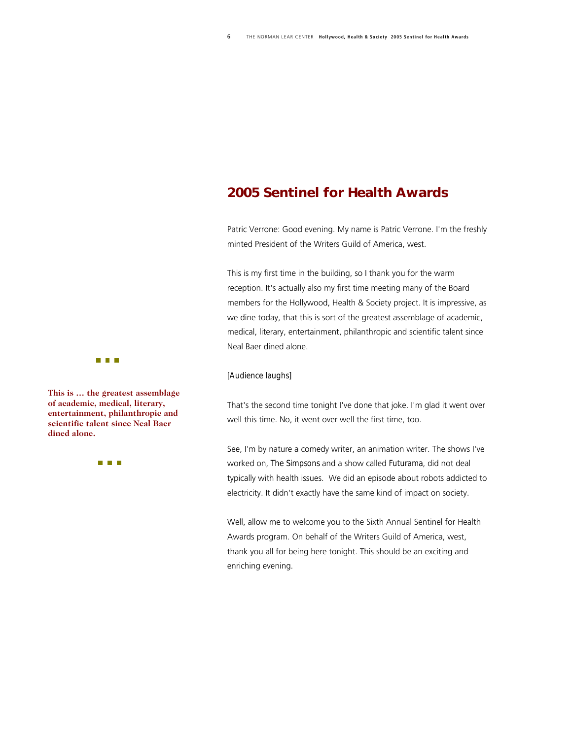# *2005 Sentinel for Health Awards*

Patric Verrone: Good evening. My name is Patric Verrone. I'm the freshly minted President of the Writers Guild of America, west.

This is my first time in the building, so I thank you for the warm reception. It's actually also my first time meeting many of the Board members for the Hollywood, Health & Society project. It is impressive, as we dine today, that this is sort of the greatest assemblage of academic, medical, literary, entertainment, philanthropic and scientific talent since Neal Baer dined alone.

#### *[Audience laughs]*

That's the second time tonight I've done that joke. I'm glad it went over well this time. No, it went over well the first time, too.

See, I'm by nature a comedy writer, an animation writer. The shows I've worked on, *The Simpsons* and a show called *Futurama*, did not deal typically with health issues. We did an episode about robots addicted to electricity. It didn't exactly have the same kind of impact on society.

Well, allow me to welcome you to the Sixth Annual Sentinel for Health Awards program. On behalf of the Writers Guild of America, west, thank you all for being here tonight. This should be an exciting and enriching evening.



**This is ... the greatest assemblage of academic, medical, litera ry, entertainment, philanthropi c and scientific talent since Neal Bae r dined alone.** 

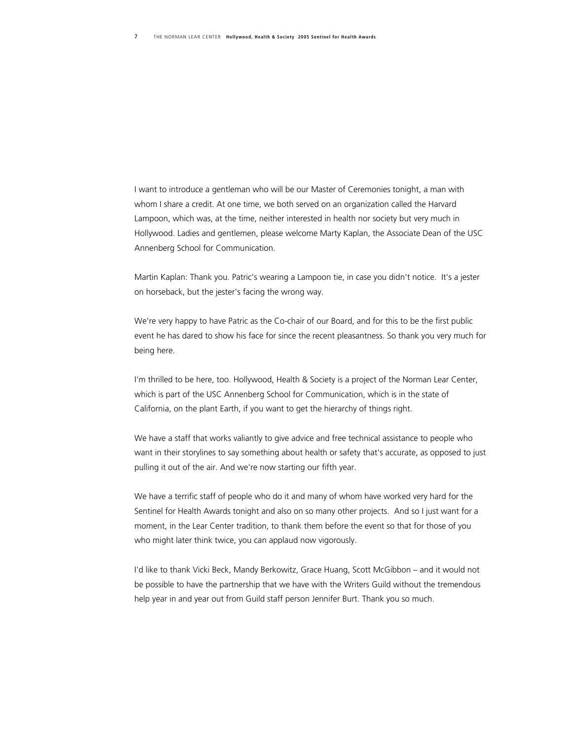I want to introduce a gentleman who will be our Master of Ceremonies tonight, a man with whom I share a credit. At one time, we both served on an organization called the Harvard Lampoon, which was, at the time, neither interested in health nor society but very much in Hollywood. Ladies and gentlemen, please welcome Marty Kaplan, the Associate Dean of the USC Annenberg School for Communication.

Martin Kaplan: Thank you. Patric's wearing a Lampoon tie, in case you didn't notice. It's a jester on horseback, but the jester's facing the wrong way.

We're very happy to have Patric as the Co-chair of our Board, and for this to be the first public event he has dared to show his face for since the recent pleasantness. So thank you very much for being here.

I'm thrilled to be here, too. Hollywood, Health & Society is a project of the Norman Lear Center, which is part of the USC Annenberg School for Communication, which is in the state of California, on the plant Earth, if you want to get the hierarchy of things right.

We have a staff that works valiantly to give advice and free technical assistance to people who want in their storylines to say something about health or safety that's accurate, as opposed to just pulling it out of the air. And we're now starting our fifth year.

We have a terrific staff of people who do it and many of whom have worked very hard for the Sentinel for Health Awards tonight and also on so many other projects. And so I just want for a moment, in the Lear Center tradition, to thank them before the event so that for those of you who might later think twice, you can applaud now vigorously.

I'd like to thank Vicki Beck, Mandy Berkowitz, Grace Huang, Scott McGibbon – and it would not be possible to have the partnership that we have with the Writers Guild without the tremendous help year in and year out from Guild staff person Jennifer Burt. Thank you so much.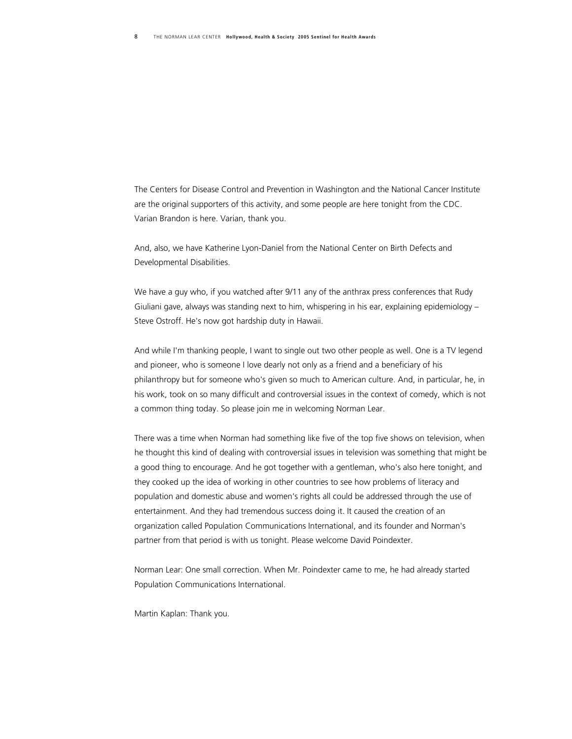The Centers for Disease Control and Prevention in Washington and the National Cancer Institute are the original supporters of this activity, and some people are here tonight from the CDC. Varian Brandon is here. Varian, thank you.

And, also, we have Katherine Lyon-Daniel from the National Center on Birth Defects and Developmental Disabilities.

We have a guy who, if you watched after 9/11 any of the anthrax press conferences that Rudy Giuliani gave, always was standing next to him, whispering in his ear, explaining epidemiology – Steve Ostroff. He's now got hardship duty in Hawaii.

And while I'm thanking people, I want to single out two other people as well. One is a TV legend and pioneer, who is someone I love dearly not only as a friend and a beneficiary of his philanthropy but for someone who's given so much to American culture. And, in particular, he, in his work, took on so many difficult and controversial issues in the context of comedy, which is not a common thing today. So please join me in welcoming Norman Lear.

There was a time when Norman had something like five of the top five shows on television, when he thought this kind of dealing with controversial issues in television was something that might be a good thing to encourage. And he got together with a gentleman, who's also here tonight, and they cooked up the idea of working in other countries to see how problems of literacy and population and domestic abuse and women's rights all could be addressed through the use of entertainment. And they had tremendous success doing it. It caused the creation of an organization called Population Communications International, and its founder and Norman's partner from that period is with us tonight. Please welcome David Poindexter.

Norman Lear: One small correction. When Mr. Poindexter came to me, he had already started Population Communications International.

Martin Kaplan: Thank you.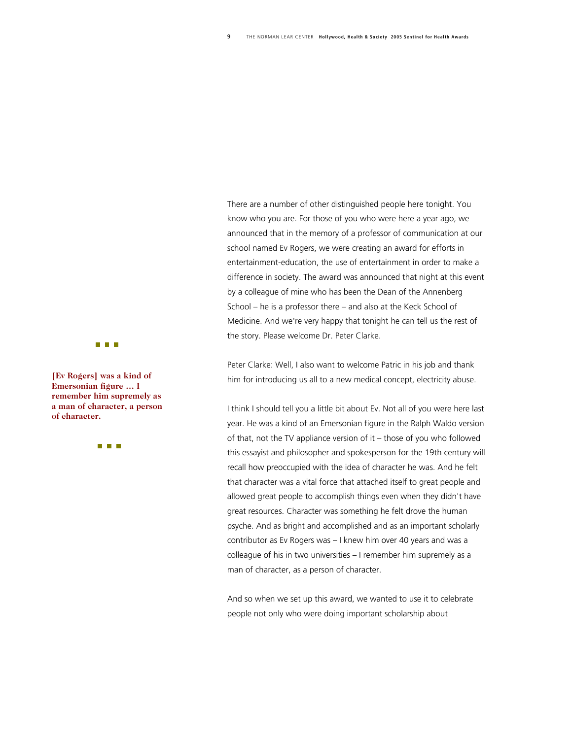There are a number of other distinguished people here tonight. You know who you are. For those of you who were here a year ago, we announced that in the memory of a professor of communication at our school named Ev Rogers, we were creating an award for efforts in entertainment-education, the use of entertainment in order to make a difference in society. The award was announced that night at this event by a colleague of mine who has been the Dean of the Annenberg School – he is a professor there – and also at the Keck School of Medicine. And we're very happy that tonight he can tell us the rest of the story. Please welcome Dr. Peter Clarke.

Peter Clarke: Well, I also want to welcome Patric in his job and thank him for introducing us all to a new medical concept, electricity abuse.

I think I should tell you a little bit about Ev. Not all of you were here last year. He was a kind of an Emersonian figure in the Ralph Waldo version of that, not the TV appliance version of it – those of you who followed this essayist and philosopher and spokesperson for the 19th century will recall how preoccupied with the idea of character he was. And he felt that character was a vital force that attached itself to great people and allowed great people to accomplish things even when they didn't have great resources. Character was something he felt drove the human psyche. And as bright and accomplished and as an important scholarly contributor as Ev Rogers was – I knew him over 40 years and was a colleague of his in two universities – I remember him supremely as a man of character, as a person of character.

And so when we set up this award, we wanted to use it to celebrate people not only who were doing important scholarship about



**[Ev Rogers] was a kind of Emersonian figure … I remember him supremely a s a man of character, a perso n of character.** 

n a n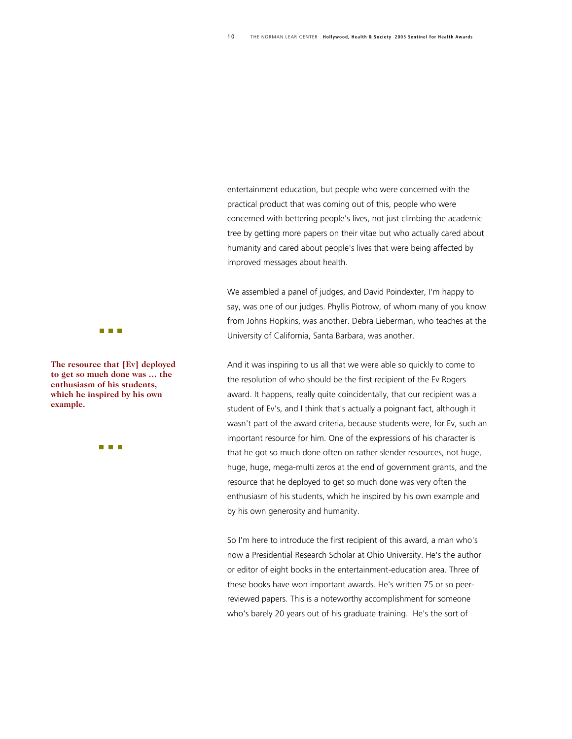entertainment education, but people who were concerned with the practical product that was coming out of this, people who were concerned with bettering people's lives, not just climbing the academic tree by getting more papers on their vitae but who actually cared about humanity and cared about people's lives that were being affected by improved messages about health.

We assembled a panel of judges, and David Poindexter, I'm happy to say, was one of our judges. Phyllis Piotrow, of whom many of you know from Johns Hopkins, was another. Debra Lieberman, who teaches at the University of California, Santa Barbara, was another.

And it was inspiring to us all that we were able so quickly to come to the resolution of who should be the first recipient of the Ev Rogers award. It happens, really quite coincidentally, that our recipient was a student of Ev's, and I think that's actually a poignant fact, although it wasn't part of the award criteria, because students were, for Ev, such an important resource for him. One of the expressions of his character is that he got so much done often on rather slender resources, not huge, huge, huge, mega-multi zeros at the end of government grants, and the resource that he deployed to get so much done was very often the enthusiasm of his students, which he inspired by his own example and by his own generosity and humanity.

So I'm here to introduce the first recipient of this award, a man who's now a Presidential Research Scholar at Ohio University. He's the author or editor of eight books in the entertainment-education area. Three of these books have won important awards. He's written 75 or so peerreviewed papers. This is a noteworthy accomplishment for someone who's barely 20 years out of his graduate training. He's the sort of

#### **THE R**

**The resource that [Ev] dep loyed to get so much done was … the enthusiasm of his students, which he inspired by his ow n example.** 

n n n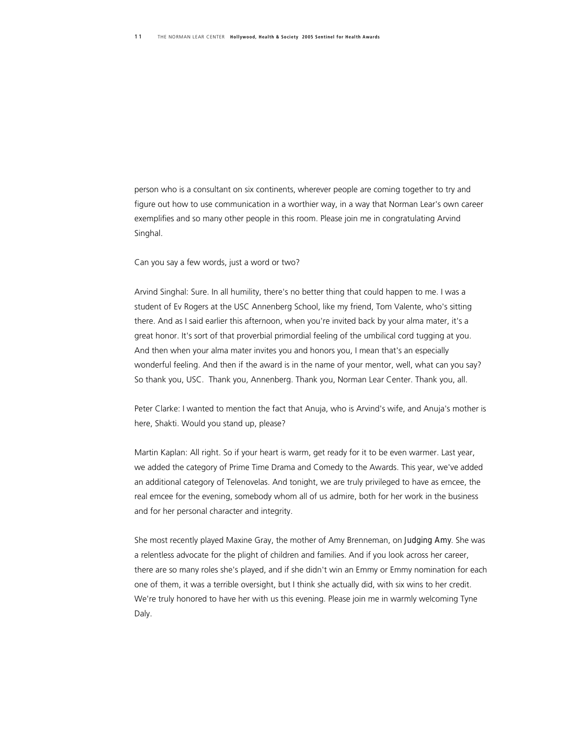person who is a consultant on six continents, wherever people are coming together to try and figure out how to use communication in a worthier way, in a way that Norman Lear's own career exemplifies and so many other people in this room. Please join me in congratulating Arvind Singhal.

Can you say a few words, just a word or two?

Arvind Singhal: Sure. In all humility, there's no better thing that could happen to me. I was a student of Ev Rogers at the USC Annenberg School, like my friend, Tom Valente, who's sitting there. And as I said earlier this afternoon, when you're invited back by your alma mater, it's a great honor. It's sort of that proverbial primordial feeling of the umbilical cord tugging at you. And then when your alma mater invites you and honors you, I mean that's an especially wonderful feeling. And then if the award is in the name of your mentor, well, what can you say? So thank you, USC. Thank you, Annenberg. Thank you, Norman Lear Center. Thank you, all.

Peter Clarke: I wanted to mention the fact that Anuja, who is Arvind's wife, and Anuja's mother is here, Shakti. Would you stand up, please?

Martin Kaplan: All right. So if your heart is warm, get ready for it to be even warmer. Last year, we added the category of Prime Time Drama and Comedy to the Awards. This year, we've added an additional category of Telenovelas. And tonight, we are truly privileged to have as emcee, the real emcee for the evening, somebody whom all of us admire, both for her work in the business and for her personal character and integrity.

She most recently played Maxine Gray, the mother of Amy Brenneman, on *Judging Amy*. She was a relentless advocate for the plight of children and families. And if you look across her career, there are so many roles she's played, and if she didn't win an Emmy or Emmy nomination for each one of them, it was a terrible oversight, but I think she actually did, with six wins to her credit. We're truly honored to have her with us this evening. Please join me in warmly welcoming Tyne Daly.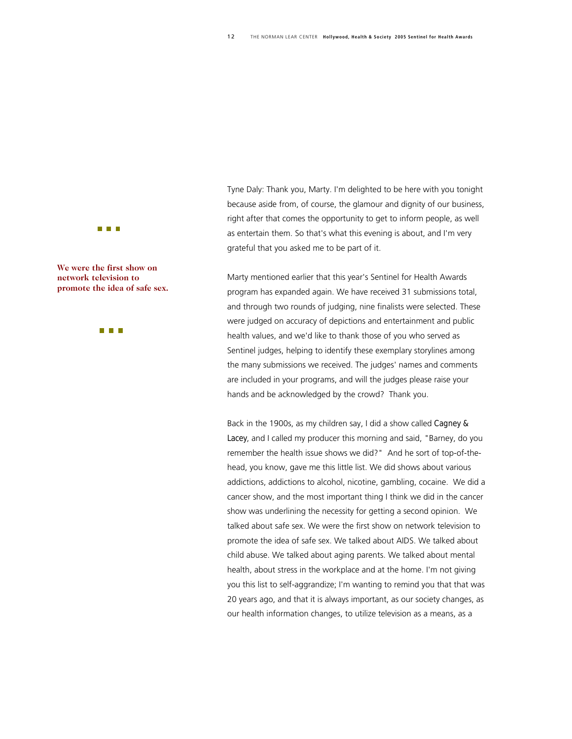Tyne Daly: Thank you, Marty. I'm delighted to be here with you tonight because aside from, of course, the glamour and dignity of our business, right after that comes the opportunity to get to inform people, as well as entertain them. So that's what this evening is about, and I'm very grateful that you asked me to be part of it.

Marty mentioned earlier that this year's Sentinel for Health Awards program has expanded again. We have received 31 submissions total, and through two rounds of judging, nine finalists were selected. These were judged on accuracy of depictions and entertainment and public health values, and we'd like to thank those of you who served as Sentinel judges, helping to identify these exemplary storylines among the many submissions we received. The judges' names and comments are included in your programs, and will the judges please raise your hands and be acknowledged by the crowd? Thank you.

Back in the 1900s, as my children say, I did a show called *Cagney & Lacey*, and I called my producer this morning and said, "Barney, do you remember the health issue shows we did?" And he sort of top-of-thehead, you know, gave me this little list. We did shows about various addictions, addictions to alcohol, nicotine, gambling, cocaine. We did a cancer show, and the most important thing I think we did in the cancer show was underlining the necessity for getting a second opinion. We talked about safe sex. We were the first show on network television to promote the idea of safe sex. We talked about AIDS. We talked about child abuse. We talked about aging parents. We talked about mental health, about stress in the workplace and at the home. I'm not giving you this list to self-aggrandize; I'm wanting to remind you that that was 20 years ago, and that it is always important, as our society changes, as our health information changes, to utilize television as a means, as a



**We were the first show on network television to promote the idea of safe sex.**

n n n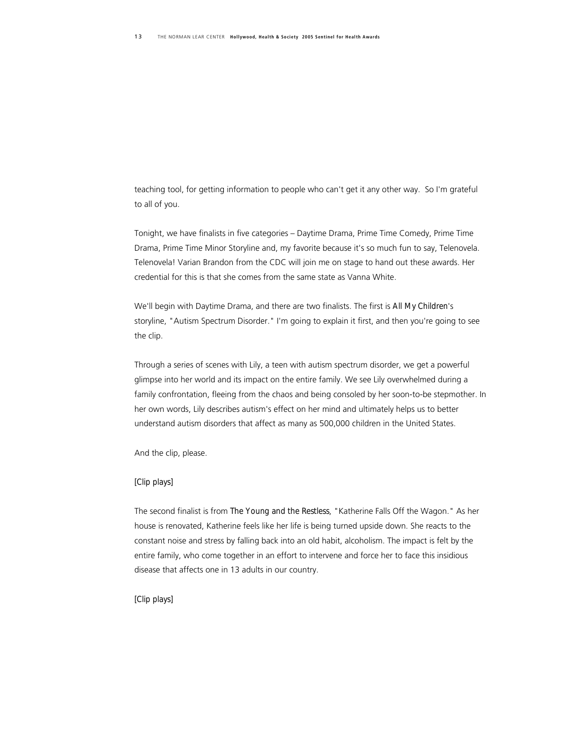teaching tool, for getting information to people who can't get it any other way. So I'm grateful to all of you.

Tonight, we have finalists in five categories – Daytime Drama, Prime Time Comedy, Prime Time Drama, Prime Time Minor Storyline and, my favorite because it's so much fun to say, Telenovela. Telenovela! Varian Brandon from the CDC will join me on stage to hand out these awards. Her credential for this is that she comes from the same state as Vanna White.

We'll begin with Daytime Drama, and there are two finalists. The first is *All My Children*'s storyline, "Autism Spectrum Disorder." I'm going to explain it first, and then you're going to see the clip.

Through a series of scenes with Lily, a teen with autism spectrum disorder, we get a powerful glimpse into her world and its impact on the entire family. We see Lily overwhelmed during a family confrontation, fleeing from the chaos and being consoled by her soon-to-be stepmother. In her own words, Lily describes autism's effect on her mind and ultimately helps us to better understand autism disorders that affect as many as 500,000 children in the United States.

And the clip, please.

#### *[Clip plays]*

The second finalist is from *The Young and the Restless*, "Katherine Falls Off the Wagon." As her house is renovated, Katherine feels like her life is being turned upside down. She reacts to the constant noise and stress by falling back into an old habit, alcoholism. The impact is felt by the entire family, who come together in an effort to intervene and force her to face this insidious disease that affects one in 13 adults in our country.

#### *[Clip plays]*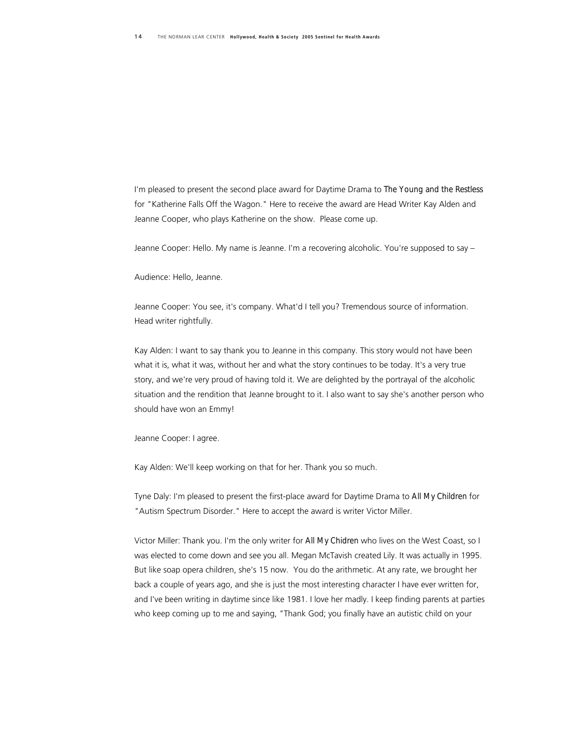I'm pleased to present the second place award for Daytime Drama to *The Young and the Restless* for "Katherine Falls Off the Wagon." Here to receive the award are Head Writer Kay Alden and Jeanne Cooper, who plays Katherine on the show. Please come up.

Jeanne Cooper: Hello. My name is Jeanne. I'm a recovering alcoholic. You're supposed to say –

Audience: Hello, Jeanne.

Jeanne Cooper: You see, it's company. What'd I tell you? Tremendous source of information. Head writer rightfully.

Kay Alden: I want to say thank you to Jeanne in this company. This story would not have been what it is, what it was, without her and what the story continues to be today. It's a very true story, and we're very proud of having told it. We are delighted by the portrayal of the alcoholic situation and the rendition that Jeanne brought to it. I also want to say she's another person who should have won an Emmy!

Jeanne Cooper: I agree.

Kay Alden: We'll keep working on that for her. Thank you so much.

Tyne Daly: I'm pleased to present the first-place award for Daytime Drama to *All My Children* for "Autism Spectrum Disorder." Here to accept the award is writer Victor Miller.

Victor Miller: Thank you. I'm the only writer for *All My Chidren* who lives on the West Coast, so I was elected to come down and see you all. Megan McTavish created Lily. It was actually in 1995. But like soap opera children, she's 15 now. You do the arithmetic. At any rate, we brought her back a couple of years ago, and she is just the most interesting character I have ever written for, and I've been writing in daytime since like 1981. I love her madly. I keep finding parents at parties who keep coming up to me and saying, "Thank God; you finally have an autistic child on your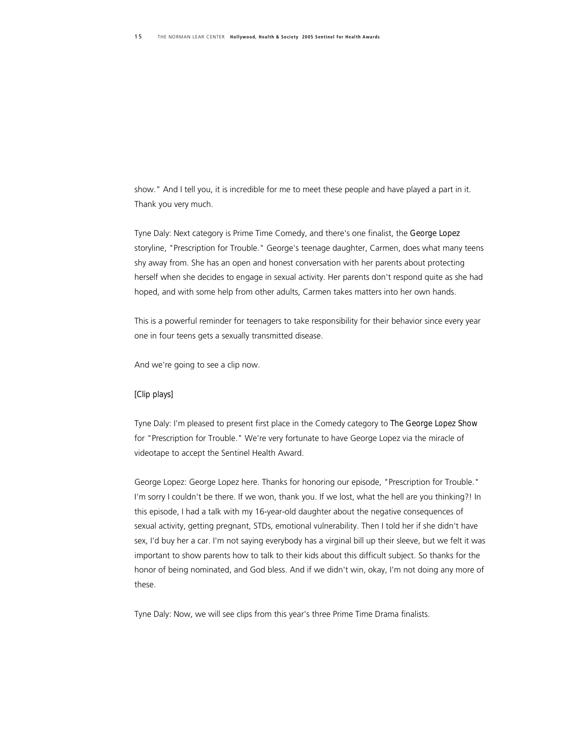show." And I tell you, it is incredible for me to meet these people and have played a part in it. Thank you very much.

Tyne Daly: Next category is Prime Time Comedy, and there's one finalist, the *George Lopez*  storyline, "Prescription for Trouble." George's teenage daughter, Carmen, does what many teens shy away from. She has an open and honest conversation with her parents about protecting herself when she decides to engage in sexual activity. Her parents don't respond quite as she had hoped, and with some help from other adults, Carmen takes matters into her own hands.

This is a powerful reminder for teenagers to take responsibility for their behavior since every year one in four teens gets a sexually transmitted disease.

And we're going to see a clip now.

#### *[Clip plays]*

Tyne Daly: I'm pleased to present first place in the Comedy category to *The George Lopez Show* for "Prescription for Trouble." We're very fortunate to have George Lopez via the miracle of videotape to accept the Sentinel Health Award.

George Lopez: George Lopez here. Thanks for honoring our episode, "Prescription for Trouble." I'm sorry I couldn't be there. If we won, thank you. If we lost, what the hell are you thinking?! In this episode, I had a talk with my 16-year-old daughter about the negative consequences of sexual activity, getting pregnant, STDs, emotional vulnerability. Then I told her if she didn't have sex, I'd buy her a car. I'm not saying everybody has a virginal bill up their sleeve, but we felt it was important to show parents how to talk to their kids about this difficult subject. So thanks for the honor of being nominated, and God bless. And if we didn't win, okay, I'm not doing any more of these.

Tyne Daly: Now, we will see clips from this year's three Prime Time Drama finalists.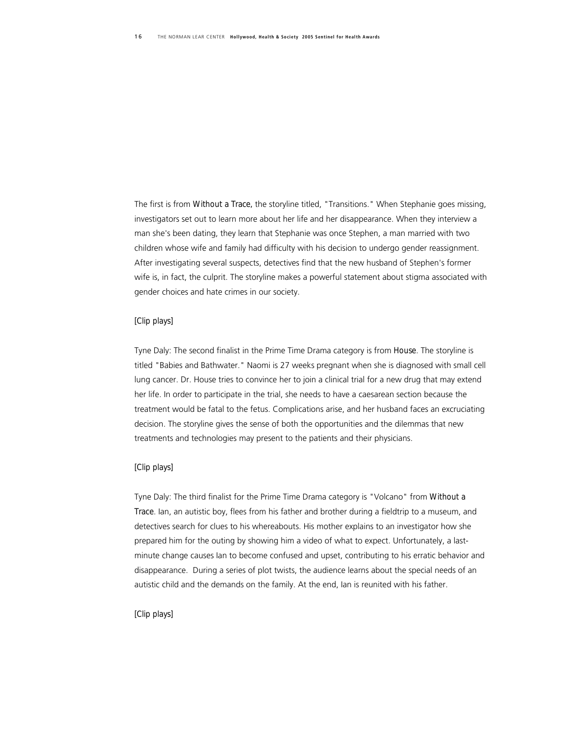The first is from *Without a Trace,* the storyline titled, "Transitions." When Stephanie goes missing, investigators set out to learn more about her life and her disappearance. When they interview a man she's been dating, they learn that Stephanie was once Stephen, a man married with two children whose wife and family had difficulty with his decision to undergo gender reassignment. After investigating several suspects, detectives find that the new husband of Stephen's former wife is, in fact, the culprit. The storyline makes a powerful statement about stigma associated with gender choices and hate crimes in our society.

#### *[Clip plays]*

Tyne Daly: The second finalist in the Prime Time Drama category is from *House*. The storyline is titled "Babies and Bathwater." Naomi is 27 weeks pregnant when she is diagnosed with small cell lung cancer. Dr. House tries to convince her to join a clinical trial for a new drug that may extend her life. In order to participate in the trial, she needs to have a caesarean section because the treatment would be fatal to the fetus. Complications arise, and her husband faces an excruciating decision. The storyline gives the sense of both the opportunities and the dilemmas that new treatments and technologies may present to the patients and their physicians.

#### *[Clip plays]*

Tyne Daly: The third finalist for the Prime Time Drama category is "Volcano" from *Without a Trace*. Ian, an autistic boy, flees from his father and brother during a fieldtrip to a museum, and detectives search for clues to his whereabouts. His mother explains to an investigator how she prepared him for the outing by showing him a video of what to expect. Unfortunately, a lastminute change causes Ian to become confused and upset, contributing to his erratic behavior and disappearance. During a series of plot twists, the audience learns about the special needs of an autistic child and the demands on the family. At the end, Ian is reunited with his father.

#### *[Clip plays]*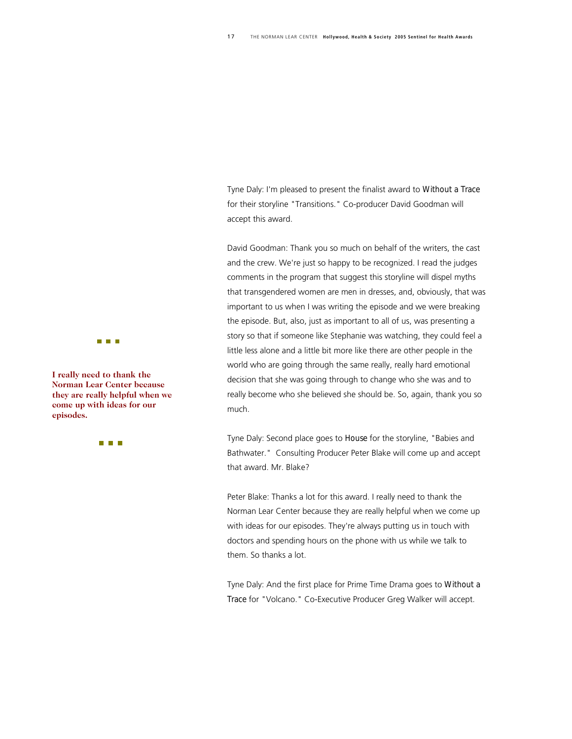Tyne Daly: I'm pleased to present the finalist award to *Without a Trace* for their storyline "Transitions." Co-producer David Goodman will accept this award.

David Goodman: Thank you so much on behalf of the writers, the cast and the crew. We're just so happy to be recognized. I read the judges comments in the program that suggest this storyline will dispel myths that transgendered women are men in dresses, and, obviously, that was important to us when I was writing the episode and we were breaking the episode. But, also, just as important to all of us, was presenting a story so that if someone like Stephanie was watching, they could feel a little less alone and a little bit more like there are other people in the world who are going through the same really, really hard emotional decision that she was going through to change who she was and to really become who she believed she should be. So, again, thank you so much.

Tyne Daly: Second place goes to *House* for the storyline, "Babies and Bathwater." Consulting Producer Peter Blake will come up and accept that award. Mr. Blake?

Peter Blake: Thanks a lot for this award. I really need to thank the Norman Lear Center because they are really helpful when we come up with ideas for our episodes. They're always putting us in touch with doctors and spending hours on the phone with us while we talk to them. So thanks a lot.

Tyne Daly: And the first place for Prime Time Drama goes to *Without a Trace* for "Volcano." Co-Executive Producer Greg Walker will accept.



**I really need to thank the Norman Lear Center becau se they are really helpful when we come up with ideas for our episodes.** 

n n n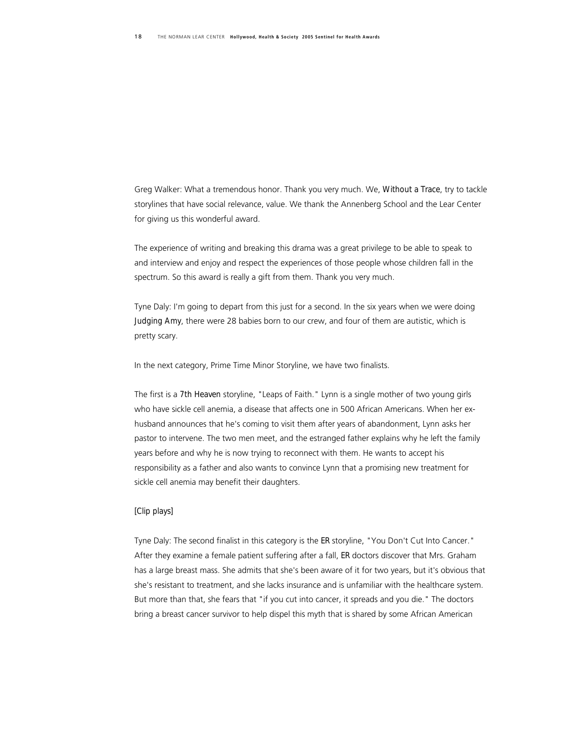Greg Walker: What a tremendous honor. Thank you very much. We, *Without a Trace*, try to tackle storylines that have social relevance, value. We thank the Annenberg School and the Lear Center for giving us this wonderful award.

The experience of writing and breaking this drama was a great privilege to be able to speak to and interview and enjoy and respect the experiences of those people whose children fall in the spectrum. So this award is really a gift from them. Thank you very much.

Tyne Daly: I'm going to depart from this just for a second. In the six years when we were doing *Judging Amy*, there were 28 babies born to our crew, and four of them are autistic, which is pretty scary.

In the next category, Prime Time Minor Storyline, we have two finalists.

The first is a *7th Heaven* storyline, "Leaps of Faith." Lynn is a single mother of two young girls who have sickle cell anemia, a disease that affects one in 500 African Americans. When her exhusband announces that he's coming to visit them after years of abandonment, Lynn asks her pastor to intervene. The two men meet, and the estranged father explains why he left the family years before and why he is now trying to reconnect with them. He wants to accept his responsibility as a father and also wants to convince Lynn that a promising new treatment for sickle cell anemia may benefit their daughters.

#### *[Clip plays]*

Tyne Daly: The second finalist in this category is the *ER* storyline, "You Don't Cut Into Cancer." After they examine a female patient suffering after a fall, *ER* doctors discover that Mrs. Graham has a large breast mass. She admits that she's been aware of it for two years, but it's obvious that she's resistant to treatment, and she lacks insurance and is unfamiliar with the healthcare system. But more than that, she fears that "if you cut into cancer, it spreads and you die." The doctors bring a breast cancer survivor to help dispel this myth that is shared by some African American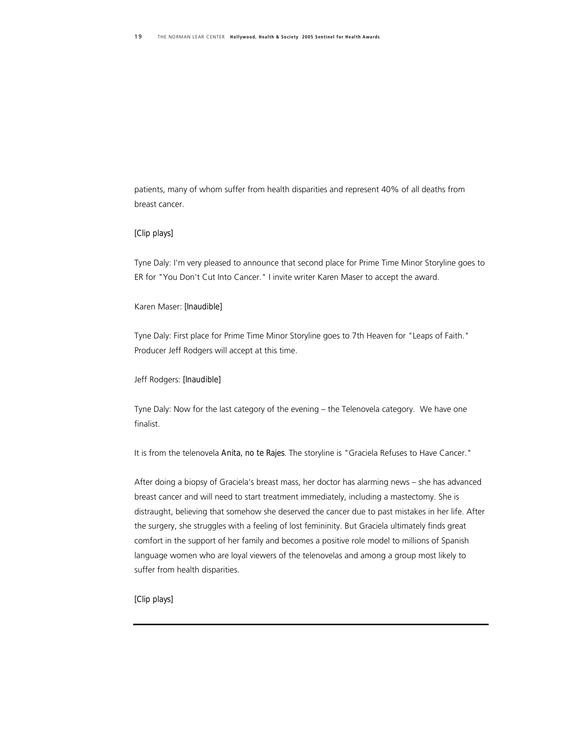patients, many of whom suffer from health disparities and represent 40% of all deaths from breast cancer.

#### *[Clip plays]*

Tyne Daly: I'm very pleased to announce that second place for Prime Time Minor Storyline goes to ER for "You Don't Cut Into Cancer." I invite writer Karen Maser to accept the award.

#### Karen Maser: *[Inaudible]*

Tyne Daly: First place for Prime Time Minor Storyline goes to 7th Heaven for "Leaps of Faith." Producer Jeff Rodgers will accept at this time.

#### Jeff Rodgers: *[Inaudible]*

Tyne Daly: Now for the last category of the evening – the Telenovela category. We have one finalist.

It is from the telenovela *Anita, no te Rajes*. The storyline is "Graciela Refuses to Have Cancer."

After doing a biopsy of Graciela's breast mass, her doctor has alarming news – she has advanced breast cancer and will need to start treatment immediately, including a mastectomy. She is distraught, believing that somehow she deserved the cancer due to past mistakes in her life. After the surgery, she struggles with a feeling of lost femininity. But Graciela ultimately finds great comfort in the support of her family and becomes a positive role model to millions of Spanish language women who are loyal viewers of the telenovelas and among a group most likely to suffer from health disparities.

#### *[Clip plays]*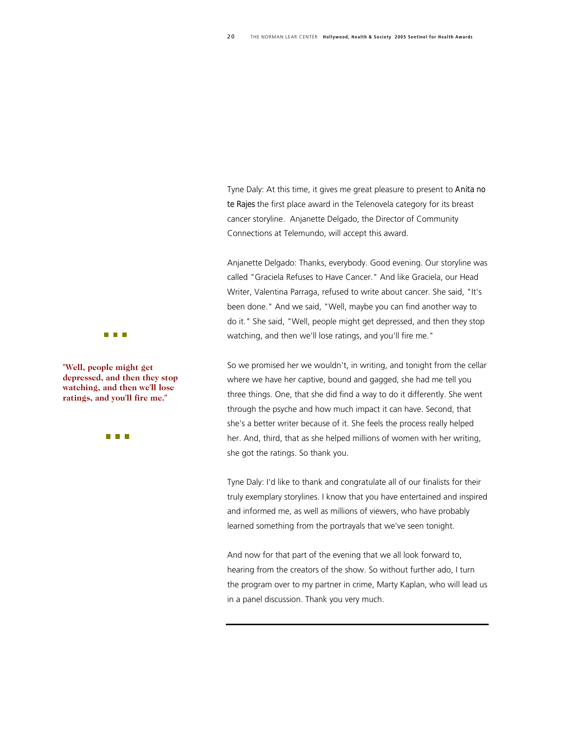Tyne Daly: At this time, it gives me great pleasure to present to *Anita no te Rajes* the first place award in the Telenovela category for its breast cancer storyline. Anjanette Delgado, the Director of Community Connections at Telemundo, will accept this award.

Anjanette Delgado: Thanks, everybody. Good evening. Our storyline was called "Graciela Refuses to Have Cancer." And like Graciela, our Head Writer, Valentina Parraga, refused to write about cancer. She said, "It's been done." And we said, "Well, maybe you can find another way to do it." She said, "Well, people might get depressed, and then they stop watching, and then we'll lose ratings, and you'll fire me."

So we promised her we wouldn't, in writing, and tonight from the cellar where we have her captive, bound and gagged, she had me tell you three things. One, that she did find a way to do it differently. She went through the psyche and how much impact it can have. Second, that she's a better writer because of it. She feels the process really helped her. And, third, that as she helped millions of women with her writing, she got the ratings. So thank you.

Tyne Daly: I'd like to thank and congratulate all of our finalists for their truly exemplary storylines. I know that you have entertained and inspired and informed me, as well as millions of viewers, who have probably learned something from the portrayals that we've seen tonight.

And now for that part of the evening that we all look forward to, hearing from the creators of the show. So without further ado, I turn the program over to my partner in crime, Marty Kaplan, who will lead us in a panel discussion. Thank you very much.



**"Well, people might get depressed, and then they stop watching, and then we'll lose ratings, and you'll fire me."** 

n n n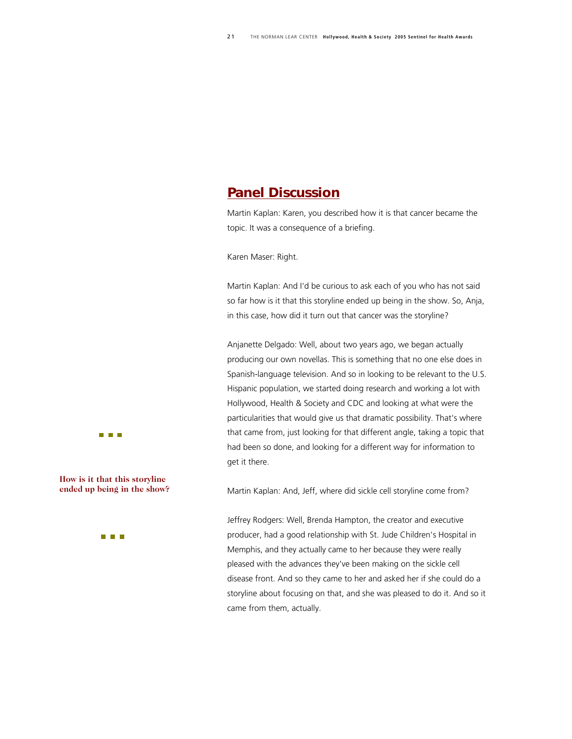## *Panel Discussion*

Martin Kaplan: Karen, you described how it is that cancer became the topic. It was a consequence of a briefing.

Karen Maser: Right.

Martin Kaplan: And I'd be curious to ask each of you who has not said so far how is it that this storyline ended up being in the show. So, Anja, in this case, how did it turn out that cancer was the storyline?

Anjanette Delgado: Well, about two years ago, we began actually producing our own novellas. This is something that no one else does in Spanish-language television. And so in looking to be relevant to the U.S. Hispanic population, we started doing research and working a lot with Hollywood, Health & Society and CDC and looking at what were the particularities that would give us that dramatic possibility. That's where that came from, just looking for that different angle, taking a topic that had been so done, and looking for a different way for information to get it there.

Martin Kaplan: And, Jeff, where did sickle cell storyline come from?

Jeffrey Rodgers: Well, Brenda Hampton, the creator and executive producer, had a good relationship with St. Jude Children's Hospital in Memphis, and they actually came to her because they were really pleased with the advances they've been making on the sickle cell disease front. And so they came to her and asked her if she could do a storyline about focusing on that, and she was pleased to do it. And so it came from them, actually.





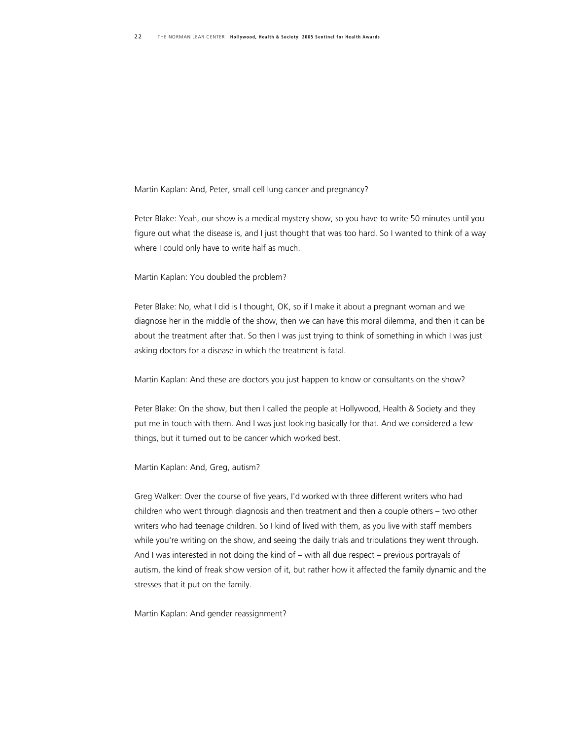Martin Kaplan: And, Peter, small cell lung cancer and pregnancy?

Peter Blake: Yeah, our show is a medical mystery show, so you have to write 50 minutes until you figure out what the disease is, and I just thought that was too hard. So I wanted to think of a way where I could only have to write half as much.

Martin Kaplan: You doubled the problem?

Peter Blake: No, what I did is I thought, OK, so if I make it about a pregnant woman and we diagnose her in the middle of the show, then we can have this moral dilemma, and then it can be about the treatment after that. So then I was just trying to think of something in which I was just asking doctors for a disease in which the treatment is fatal.

Martin Kaplan: And these are doctors you just happen to know or consultants on the show?

Peter Blake: On the show, but then I called the people at Hollywood, Health & Society and they put me in touch with them. And I was just looking basically for that. And we considered a few things, but it turned out to be cancer which worked best.

Martin Kaplan: And, Greg, autism?

Greg Walker: Over the course of five years, I'd worked with three different writers who had children who went through diagnosis and then treatment and then a couple others – two other writers who had teenage children. So I kind of lived with them, as you live with staff members while you're writing on the show, and seeing the daily trials and tribulations they went through. And I was interested in not doing the kind of – with all due respect – previous portrayals of autism, the kind of freak show version of it, but rather how it affected the family dynamic and the stresses that it put on the family.

Martin Kaplan: And gender reassignment?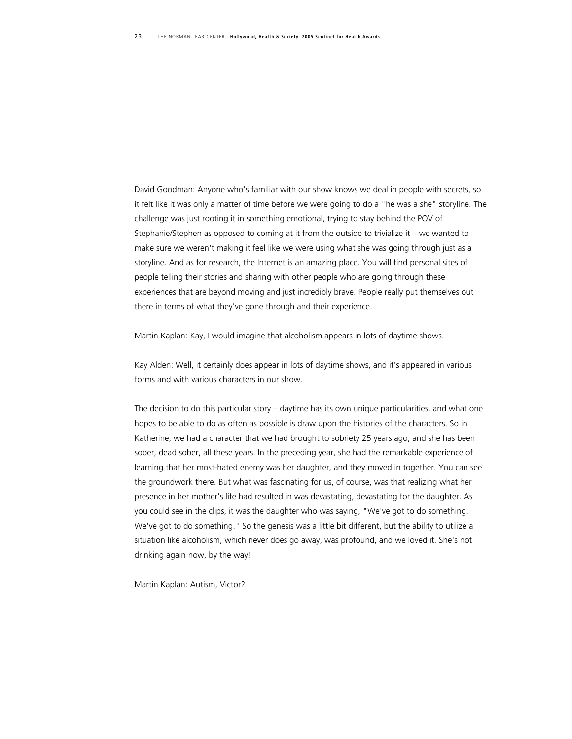David Goodman: Anyone who's familiar with our show knows we deal in people with secrets, so it felt like it was only a matter of time before we were going to do a "he was a she" storyline. The challenge was just rooting it in something emotional, trying to stay behind the POV of Stephanie/Stephen as opposed to coming at it from the outside to trivialize it – we wanted to make sure we weren't making it feel like we were using what she was going through just as a storyline. And as for research, the Internet is an amazing place. You will find personal sites of people telling their stories and sharing with other people who are going through these experiences that are beyond moving and just incredibly brave. People really put themselves out there in terms of what they've gone through and their experience.

Martin Kaplan: Kay, I would imagine that alcoholism appears in lots of daytime shows.

Kay Alden: Well, it certainly does appear in lots of daytime shows, and it's appeared in various forms and with various characters in our show.

The decision to do this particular story – daytime has its own unique particularities, and what one hopes to be able to do as often as possible is draw upon the histories of the characters. So in Katherine, we had a character that we had brought to sobriety 25 years ago, and she has been sober, dead sober, all these years. In the preceding year, she had the remarkable experience of learning that her most-hated enemy was her daughter, and they moved in together. You can see the groundwork there. But what was fascinating for us, of course, was that realizing what her presence in her mother's life had resulted in was devastating, devastating for the daughter. As you could see in the clips, it was the daughter who was saying, "We've got to do something. We've got to do something." So the genesis was a little bit different, but the ability to utilize a situation like alcoholism, which never does go away, was profound, and we loved it. She's not drinking again now, by the way!

Martin Kaplan: Autism, Victor?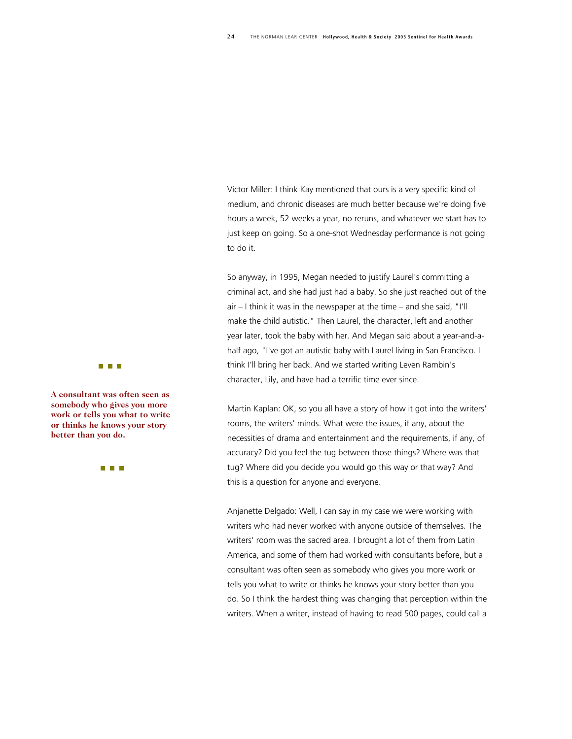Victor Miller: I think Kay mentioned that ours is a very specific kind of medium, and chronic diseases are much better because we're doing five hours a week, 52 weeks a year, no reruns, and whatever we start has to just keep on going. So a one-shot Wednesday performance is not going to do it.

So anyway, in 1995, Megan needed to justify Laurel's committing a criminal act, and she had just had a baby. So she just reached out of the air – I think it was in the newspaper at the time – and she said, "I'll make the child autistic." Then Laurel, the character, left and another year later, took the baby with her. And Megan said about a year-and-ahalf ago, "I've got an autistic baby with Laurel living in San Francisco. I think I'll bring her back. And we started writing [Leven Rambin](http://abc.go.com/daytime/allmychildren/bios/87728_1.html)'s character, Lily, and have had a terrific time ever since.

Martin Kaplan: OK, so you all have a story of how it got into the writers' rooms, the writers' minds. What were the issues, if any, about the necessities of drama and entertainment and the requirements, if any, of accuracy? Did you feel the tug between those things? Where was that tug? Where did you decide you would go this way or that way? And this is a question for anyone and everyone.

Anjanette Delgado: Well, I can say in my case we were working with writers who had never worked with anyone outside of themselves. The writers' room was the sacred area. I brought a lot of them from Latin America, and some of them had worked with consultants before, but a consultant was often seen as somebody who gives you more work or tells you what to write or thinks he knows your story better than you do. So I think the hardest thing was changing that perception within the writers. When a writer, instead of having to read 500 pages, could call a

#### a a shekara

**A consultant was often see n as somebody who gives you mo re work or tells you what to wr ite or thinks he knows your sto ry better than you do.** 

**The Co**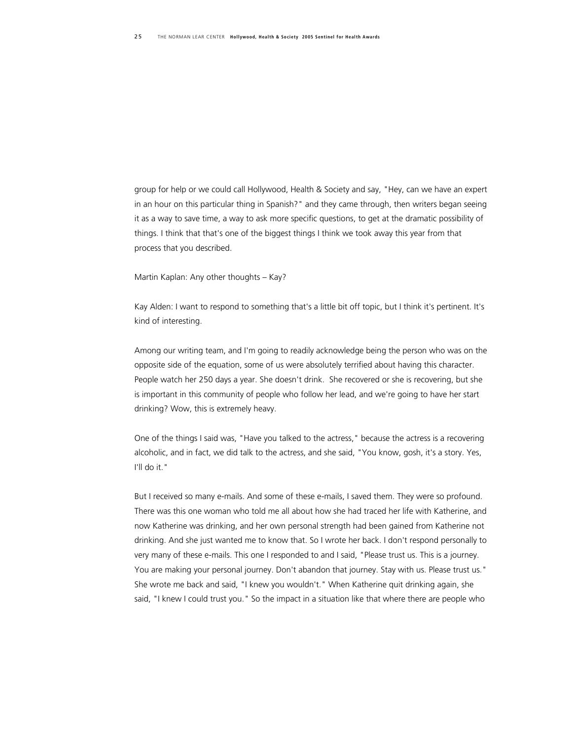group for help or we could call Hollywood, Health & Society and say, "Hey, can we have an expert in an hour on this particular thing in Spanish?" and they came through, then writers began seeing it as a way to save time, a way to ask more specific questions, to get at the dramatic possibility of things. I think that that's one of the biggest things I think we took away this year from that process that you described.

Martin Kaplan: Any other thoughts – Kay?

Kay Alden: I want to respond to something that's a little bit off topic, but I think it's pertinent. It's kind of interesting.

Among our writing team, and I'm going to readily acknowledge being the person who was on the opposite side of the equation, some of us were absolutely terrified about having this character. People watch her 250 days a year. She doesn't drink. She recovered or she is recovering, but she is important in this community of people who follow her lead, and we're going to have her start drinking? Wow, this is extremely heavy.

One of the things I said was, "Have you talked to the actress," because the actress is a recovering alcoholic, and in fact, we did talk to the actress, and she said, "You know, gosh, it's a story. Yes, I'll do it."

But I received so many e-mails. And some of these e-mails, I saved them. They were so profound. There was this one woman who told me all about how she had traced her life with Katherine, and now Katherine was drinking, and her own personal strength had been gained from Katherine not drinking. And she just wanted me to know that. So I wrote her back. I don't respond personally to very many of these e-mails. This one I responded to and I said, "Please trust us. This is a journey. You are making your personal journey. Don't abandon that journey. Stay with us. Please trust us." She wrote me back and said, "I knew you wouldn't." When Katherine quit drinking again, she said, "I knew I could trust you." So the impact in a situation like that where there are people who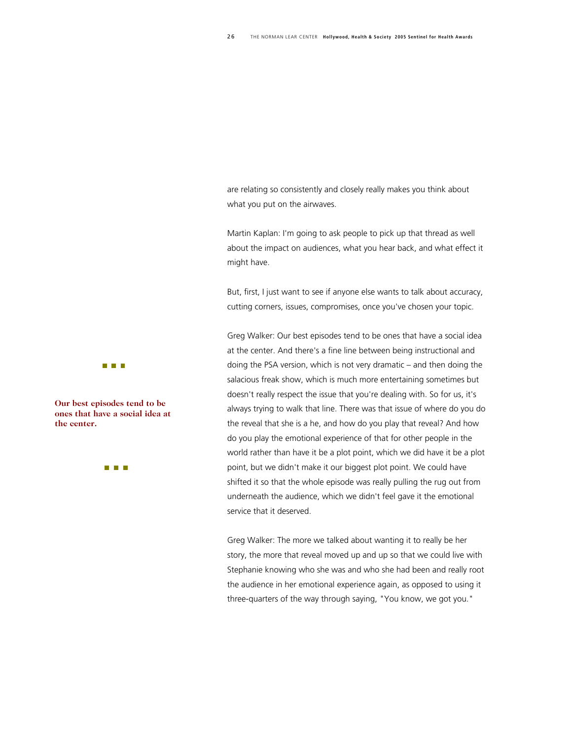are relating so consistently and closely really makes you think about what you put on the airwaves.

Martin Kaplan: I'm going to ask people to pick up that thread as well about the impact on audiences, what you hear back, and what effect it might have.

But, first, I just want to see if anyone else wants to talk about accuracy, cutting corners, issues, compromises, once you've chosen your topic.

Greg Walker: Our best episodes tend to be ones that have a social idea at the center. And there's a fine line between being instructional and doing the PSA version, which is not very dramatic – and then doing the salacious freak show, which is much more entertaining sometimes but doesn't really respect the issue that you're dealing with. So for us, it's always trying to walk that line. There was that issue of where do you do the reveal that she is a he, and how do you play that reveal? And how do you play the emotional experience of that for other people in the world rather than have it be a plot point, which we did have it be a plot point, but we didn't make it our biggest plot point. We could have shifted it so that the whole episode was really pulling the rug out from underneath the audience, which we didn't feel gave it the emotional service that it deserved.

Greg Walker: The more we talked about wanting it to really be her story, the more that reveal moved up and up so that we could live with Stephanie knowing who she was and who she had been and really root the audience in her emotional experience again, as opposed to using it three-quarters of the way through saying, "You know, we got you."



**Our best episodes tend to be ones that have a social idea at the center.** 

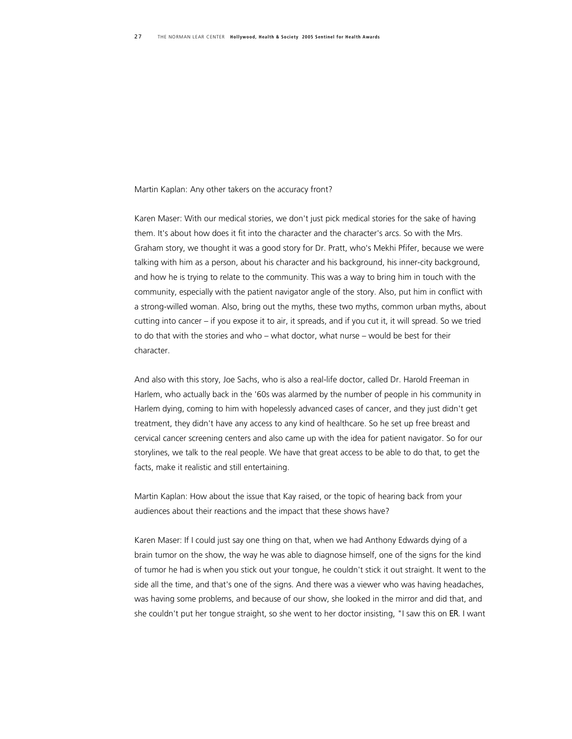Martin Kaplan: Any other takers on the accuracy front?

Karen Maser: With our medical stories, we don't just pick medical stories for the sake of having them. It's about how does it fit into the character and the character's arcs. So with the Mrs. Graham story, we thought it was a good story for Dr. Pratt, who's Mekhi Pfifer, because we were talking with him as a person, about his character and his background, his inner-city background, and how he is trying to relate to the community. This was a way to bring him in touch with the community, especially with the patient navigator angle of the story. Also, put him in conflict with a strong-willed woman. Also, bring out the myths, these two myths, common urban myths, about cutting into cancer – if you expose it to air, it spreads, and if you cut it, it will spread. So we tried to do that with the stories and who – what doctor, what nurse – would be best for their character.

And also with this story, Joe Sachs, who is also a real-life doctor, called Dr. Harold Freeman in Harlem, who actually back in the '60s was alarmed by the number of people in his community in Harlem dying, coming to him with hopelessly advanced cases of cancer, and they just didn't get treatment, they didn't have any access to any kind of healthcare. So he set up free breast and cervical cancer screening centers and also came up with the idea for patient navigator. So for our storylines, we talk to the real people. We have that great access to be able to do that, to get the facts, make it realistic and still entertaining.

Martin Kaplan: How about the issue that Kay raised, or the topic of hearing back from your audiences about their reactions and the impact that these shows have?

Karen Maser: If I could just say one thing on that, when we had Anthony Edwards dying of a brain tumor on the show, the way he was able to diagnose himself, one of the signs for the kind of tumor he had is when you stick out your tongue, he couldn't stick it out straight. It went to the side all the time, and that's one of the signs. And there was a viewer who was having headaches, was having some problems, and because of our show, she looked in the mirror and did that, and she couldn't put her tongue straight, so she went to her doctor insisting, "I saw this on *ER*. I want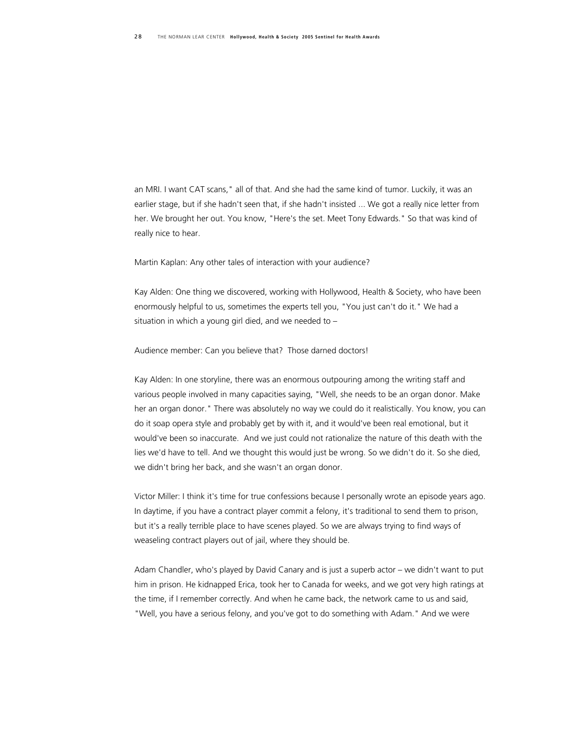an MRI. I want CAT scans," all of that. And she had the same kind of tumor. Luckily, it was an earlier stage, but if she hadn't seen that, if she hadn't insisted ... We got a really nice letter from her. We brought her out. You know, "Here's the set. Meet Tony Edwards." So that was kind of really nice to hear.

Martin Kaplan: Any other tales of interaction with your audience?

Kay Alden: One thing we discovered, working with Hollywood, Health & Society, who have been enormously helpful to us, sometimes the experts tell you, "You just can't do it." We had a situation in which a young girl died, and we needed to –

Audience member: Can you believe that? Those darned doctors!

Kay Alden: In one storyline, there was an enormous outpouring among the writing staff and various people involved in many capacities saying, "Well, she needs to be an organ donor. Make her an organ donor." There was absolutely no way we could do it realistically. You know, you can do it soap opera style and probably get by with it, and it would've been real emotional, but it would've been so inaccurate. And we just could not rationalize the nature of this death with the lies we'd have to tell. And we thought this would just be wrong. So we didn't do it. So she died, we didn't bring her back, and she wasn't an organ donor.

Victor Miller: I think it's time for true confessions because I personally wrote an episode years ago. In daytime, if you have a contract player commit a felony, it's traditional to send them to prison, but it's a really terrible place to have scenes played. So we are always trying to find ways of weaseling contract players out of jail, where they should be.

Adam Chandler, who's played by David Canary and is just a superb actor – we didn't want to put him in prison. He kidnapped Erica, took her to Canada for weeks, and we got very high ratings at the time, if I remember correctly. And when he came back, the network came to us and said, "Well, you have a serious felony, and you've got to do something with Adam." And we were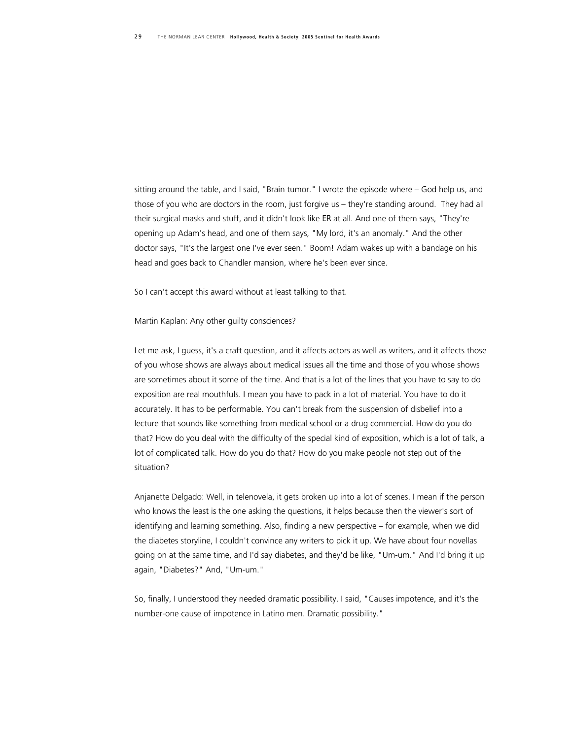sitting around the table, and I said, "Brain tumor." I wrote the episode where – God help us, and those of you who are doctors in the room, just forgive us – they're standing around. They had all their surgical masks and stuff, and it didn't look like *ER* at all. And one of them says, "They're opening up Adam's head, and one of them says, "My lord, it's an anomaly." And the other doctor says, "It's the largest one I've ever seen." Boom! Adam wakes up with a bandage on his head and goes back to Chandler mansion, where he's been ever since.

So I can't accept this award without at least talking to that.

#### Martin Kaplan: Any other guilty consciences?

Let me ask, I guess, it's a craft question, and it affects actors as well as writers, and it affects those of you whose shows are always about medical issues all the time and those of you whose shows are sometimes about it some of the time. And that is a lot of the lines that you have to say to do exposition are real mouthfuls. I mean you have to pack in a lot of material. You have to do it accurately. It has to be performable. You can't break from the suspension of disbelief into a lecture that sounds like something from medical school or a drug commercial. How do you do that? How do you deal with the difficulty of the special kind of exposition, which is a lot of talk, a lot of complicated talk. How do you do that? How do you make people not step out of the situation?

Anjanette Delgado: Well, in telenovela, it gets broken up into a lot of scenes. I mean if the person who knows the least is the one asking the questions, it helps because then the viewer's sort of identifying and learning something. Also, finding a new perspective – for example, when we did the diabetes storyline, I couldn't convince any writers to pick it up. We have about four novellas going on at the same time, and I'd say diabetes, and they'd be like, "Um-um." And I'd bring it up again, "Diabetes?" And, "Um-um."

So, finally, I understood they needed dramatic possibility. I said, "Causes impotence, and it's the number-one cause of impotence in Latino men. Dramatic possibility."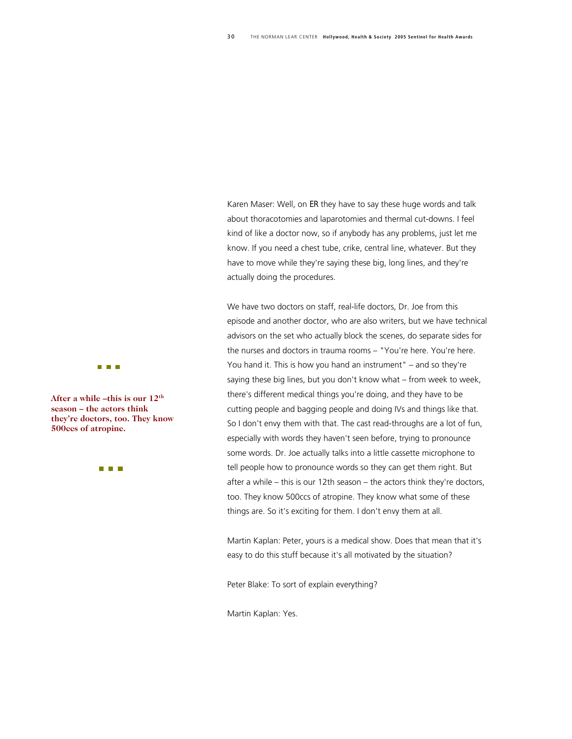Karen Maser: Well, on *ER* they have to say these huge words and talk about thoracotomies and laparotomies and thermal cut-downs. I feel kind of like a doctor now, so if anybody has any problems, just let me know. If you need a chest tube, crike, central line, whatever. But they have to move while they're saying these big, long lines, and they're actually doing the procedures.

We have two doctors on staff, real-life doctors, Dr. Joe from this episode and another doctor, who are also writers, but we have technical advisors on the set who actually block the scenes, do separate sides for the nurses and doctors in trauma rooms – "You're here. You're here. You hand it. This is how you hand an instrument" – and so they're saying these big lines, but you don't know what – from week to week, there's different medical things you're doing, and they have to be cutting people and bagging people and doing IVs and things like that. So I don't envy them with that. The cast read-throughs are a lot of fun, especially with words they haven't seen before, trying to pronounce some words. Dr. Joe actually talks into a little cassette microphone to tell people how to pronounce words so they can get them right. But after a while – this is our 12th season – the actors think they're doctors, too. They know 500ccs of atropine. They know what some of these things are. So it's exciting for them. I don't envy them at all.

Martin Kaplan: Peter, yours is a medical show. Does that mean that it's easy to do this stuff because it's all motivated by the situation?

Peter Blake: To sort of explain everything?

Martin Kaplan: Yes.



**After a while –this is our 1 2th season – the actors think they're doctors, too. They k now 500ccs of atropine.** 

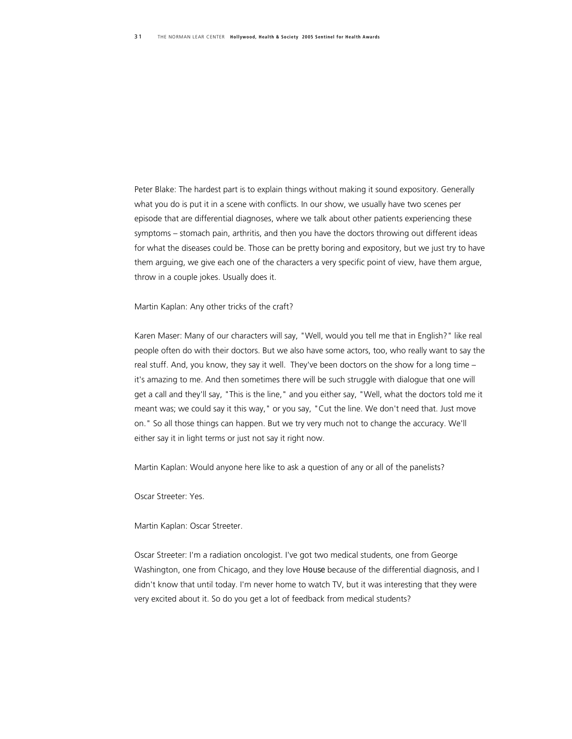Peter Blake: The hardest part is to explain things without making it sound expository. Generally what you do is put it in a scene with conflicts. In our show, we usually have two scenes per episode that are differential diagnoses, where we talk about other patients experiencing these symptoms – stomach pain, arthritis, and then you have the doctors throwing out different ideas for what the diseases could be. Those can be pretty boring and expository, but we just try to have them arguing, we give each one of the characters a very specific point of view, have them argue, throw in a couple jokes. Usually does it.

Martin Kaplan: Any other tricks of the craft?

Karen Maser: Many of our characters will say, "Well, would you tell me that in English?" like real people often do with their doctors. But we also have some actors, too, who really want to say the real stuff. And, you know, they say it well. They've been doctors on the show for a long time – it's amazing to me. And then sometimes there will be such struggle with dialogue that one will get a call and they'll say, "This is the line," and you either say, "Well, what the doctors told me it meant was; we could say it this way," or you say, "Cut the line. We don't need that. Just move on." So all those things can happen. But we try very much not to change the accuracy. We'll either say it in light terms or just not say it right now.

Martin Kaplan: Would anyone here like to ask a question of any or all of the panelists?

Oscar Streeter: Yes.

Martin Kaplan: Oscar Streeter.

Oscar Streeter: I'm a radiation oncologist. I've got two medical students, one from George Washington, one from Chicago, and they love *House* because of the differential diagnosis, and I didn't know that until today. I'm never home to watch TV, but it was interesting that they were very excited about it. So do you get a lot of feedback from medical students?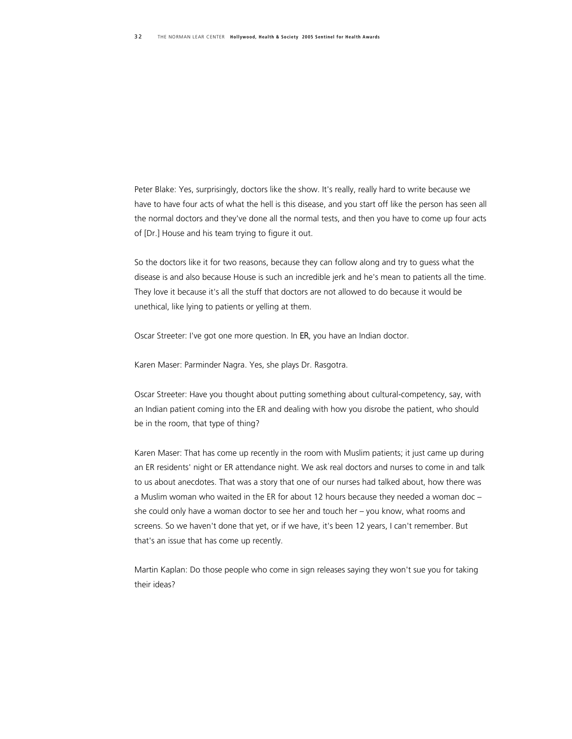Peter Blake: Yes, surprisingly, doctors like the show. It's really, really hard to write because we have to have four acts of what the hell is this disease, and you start off like the person has seen all the normal doctors and they've done all the normal tests, and then you have to come up four acts of [Dr.] House and his team trying to figure it out.

So the doctors like it for two reasons, because they can follow along and try to guess what the disease is and also because House is such an incredible jerk and he's mean to patients all the time. They love it because it's all the stuff that doctors are not allowed to do because it would be unethical, like lying to patients or yelling at them.

Oscar Streeter: I've got one more question. In *ER*, you have an Indian doctor.

Karen Maser: Parminder Nagra. Yes, she plays Dr. Rasgotra.

Oscar Streeter: Have you thought about putting something about cultural-competency, say, with an Indian patient coming into the ER and dealing with how you disrobe the patient, who should be in the room, that type of thing?

Karen Maser: That has come up recently in the room with Muslim patients; it just came up during an ER residents' night or ER attendance night. We ask real doctors and nurses to come in and talk to us about anecdotes. That was a story that one of our nurses had talked about, how there was a Muslim woman who waited in the ER for about 12 hours because they needed a woman doc – she could only have a woman doctor to see her and touch her – you know, what rooms and screens. So we haven't done that yet, or if we have, it's been 12 years, I can't remember. But that's an issue that has come up recently.

Martin Kaplan: Do those people who come in sign releases saying they won't sue you for taking their ideas?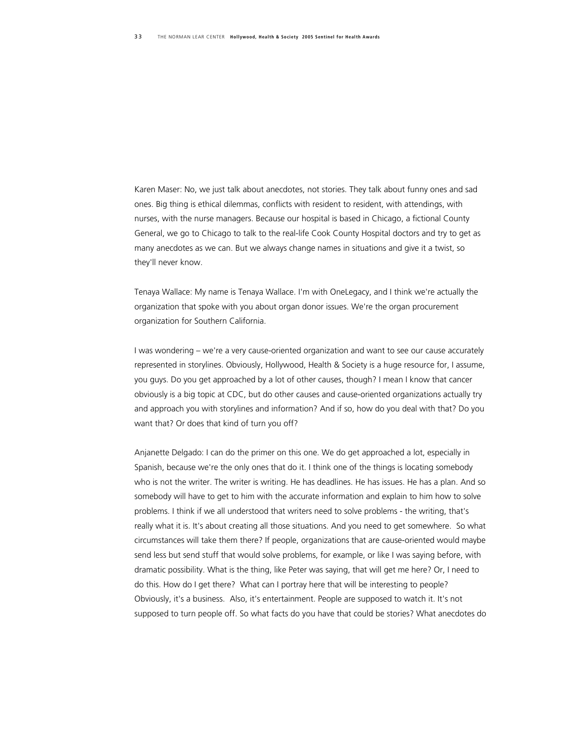Karen Maser: No, we just talk about anecdotes, not stories. They talk about funny ones and sad ones. Big thing is ethical dilemmas, conflicts with resident to resident, with attendings, with nurses, with the nurse managers. Because our hospital is based in Chicago, a fictional County General, we go to Chicago to talk to the real-life Cook County Hospital doctors and try to get as many anecdotes as we can. But we always change names in situations and give it a twist, so they'll never know.

Tenaya Wallace: My name is Tenaya Wallace. I'm with OneLegacy, and I think we're actually the organization that spoke with you about organ donor issues. We're the organ procurement organization for Southern California.

I was wondering – we're a very cause-oriented organization and want to see our cause accurately represented in storylines. Obviously, Hollywood, Health & Society is a huge resource for, I assume, you guys. Do you get approached by a lot of other causes, though? I mean I know that cancer obviously is a big topic at CDC, but do other causes and cause-oriented organizations actually try and approach you with storylines and information? And if so, how do you deal with that? Do you want that? Or does that kind of turn you off?

Anjanette Delgado: I can do the primer on this one. We do get approached a lot, especially in Spanish, because we're the only ones that do it. I think one of the things is locating somebody who is not the writer. The writer is writing. He has deadlines. He has issues. He has a plan. And so somebody will have to get to him with the accurate information and explain to him how to solve problems. I think if we all understood that writers need to solve problems - the writing, that's really what it is. It's about creating all those situations. And you need to get somewhere. So what circumstances will take them there? If people, organizations that are cause-oriented would maybe send less but send stuff that would solve problems, for example, or like I was saying before, with dramatic possibility. What is the thing, like Peter was saying, that will get me here? Or, I need to do this. How do I get there? What can I portray here that will be interesting to people? Obviously, it's a business. Also, it's entertainment. People are supposed to watch it. It's not supposed to turn people off. So what facts do you have that could be stories? What anecdotes do